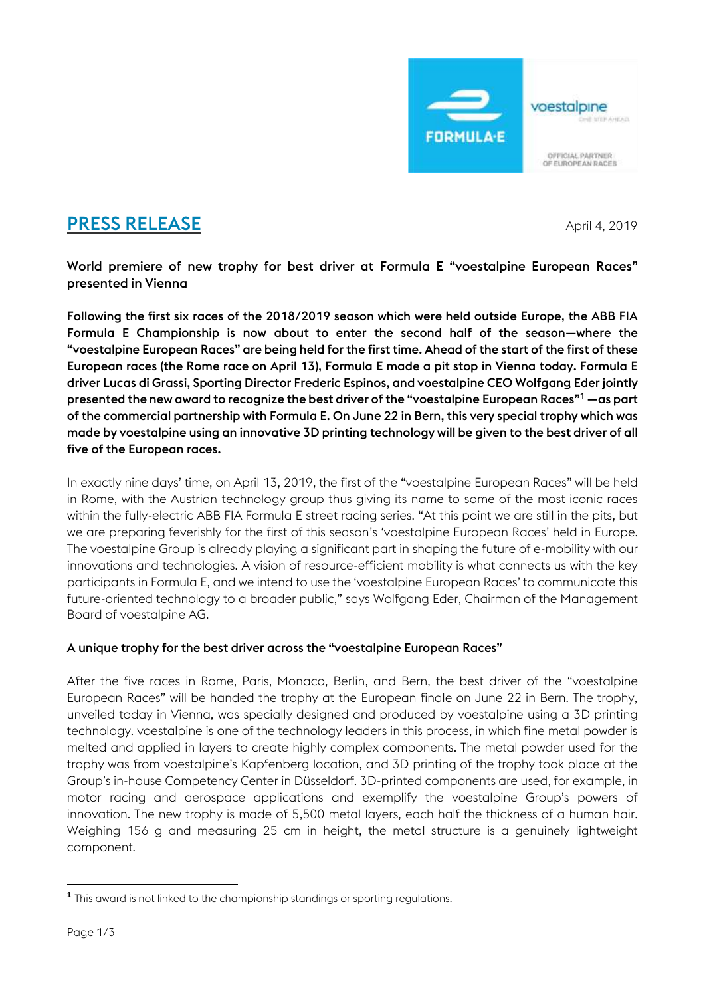

# **PRESS RELEASE** April 4, 2019

World premiere of new trophy for best driver at Formula E "voestalpine European Races" presented in Vienna

Following the first six races of the 2018/2019 season which were held outside Europe, the ABB FIA Formula E Championship is now about to enter the second half of the season—where the "voestalpine European Races" are being held for the first time. Ahead of the start of the first of these European races (the Rome race on April 13), Formula E made a pit stop in Vienna today. Formula E driver Lucas di Grassi, Sporting Director Frederic Espinos, and voestalpine CEO Wolfgang Eder jointly presented the new award to recognize the best driver of the "voestalpine European Races"<sup>1</sup> —as part of the commercial partnership with Formula E. On June 22 in Bern, this very special trophy which was made by voestalpine using an innovative 3D printing technology will be given to the best driver of all five of the European races.

In exactly nine days' time, on April 13, 2019, the first of the "voestalpine European Races" will be held in Rome, with the Austrian technology group thus giving its name to some of the most iconic races within the fully-electric ABB FIA Formula E street racing series. "At this point we are still in the pits, but we are preparing feverishly for the first of this season's 'voestalpine European Races' held in Europe. The voestalpine Group is already playing a significant part in shaping the future of e-mobility with our innovations and technologies. A vision of resource-efficient mobility is what connects us with the key participants in Formula E, and we intend to use the 'voestalpine European Races' to communicate this future-oriented technology to a broader public," says Wolfgang Eder, Chairman of the Management Board of voestalpine AG.

## A unique trophy for the best driver across the "voestalpine European Races"

After the five races in Rome, Paris, Monaco, Berlin, and Bern, the best driver of the "voestalpine European Races" will be handed the trophy at the European finale on June 22 in Bern. The trophy, unveiled today in Vienna, was specially designed and produced by voestalpine using a 3D printing technology. voestalpine is one of the technology leaders in this process, in which fine metal powder is melted and applied in layers to create highly complex components. The metal powder used for the trophy was from voestalpine's Kapfenberg location, and 3D printing of the trophy took place at the Group's in-house Competency Center in Düsseldorf. 3D-printed components are used, for example, in motor racing and aerospace applications and exemplify the voestalpine Group's powers of innovation. The new trophy is made of 5,500 metal layers, each half the thickness of a human hair. Weighing 156 g and measuring 25 cm in height, the metal structure is a genuinely lightweight component.

**<sup>1</sup>** This award is not linked to the championship standings or sporting regulations.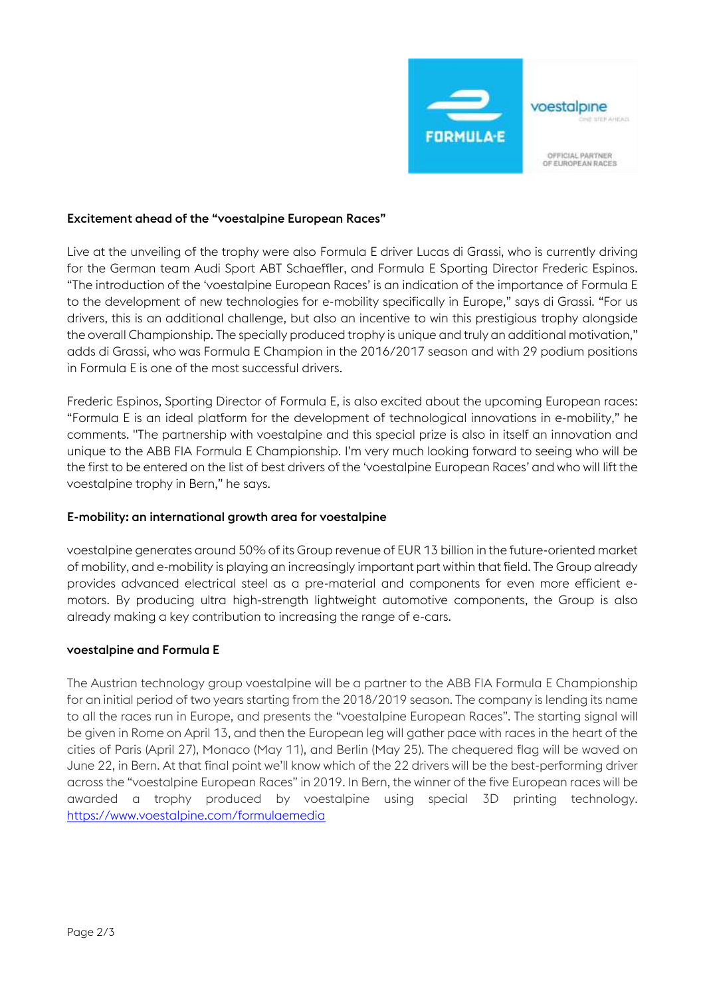

### Excitement ahead of the "voestalpine European Races"

Live at the unveiling of the trophy were also Formula E driver Lucas di Grassi, who is currently driving for the German team Audi Sport ABT Schaeffler, and Formula E Sporting Director Frederic Espinos. "The introduction of the 'voestalpine European Races' is an indication of the importance of Formula E to the development of new technologies for e-mobility specifically in Europe," says di Grassi. "For us drivers, this is an additional challenge, but also an incentive to win this prestigious trophy alongside the overall Championship. The specially produced trophy is unique and truly an additional motivation," adds di Grassi, who was Formula E Champion in the 2016/2017 season and with 29 podium positions in Formula E is one of the most successful drivers.

Frederic Espinos, Sporting Director of Formula E, is also excited about the upcoming European races: "Formula E is an ideal platform for the development of technological innovations in e-mobility," he comments. "The partnership with voestalpine and this special prize is also in itself an innovation and unique to the ABB FIA Formula E Championship. I'm very much looking forward to seeing who will be the first to be entered on the list of best drivers of the 'voestalpine European Races' and who will lift the voestalpine trophy in Bern," he says.

#### E-mobility: an international growth area for voestalpine

voestalpine generates around 50% of its Group revenue of EUR 13 billion in the future-oriented market of mobility, and e-mobility is playing an increasingly important part within that field. The Group already provides advanced electrical steel as a pre-material and components for even more efficient emotors. By producing ultra high-strength lightweight automotive components, the Group is also already making a key contribution to increasing the range of e-cars.

#### voestalpine and Formula E

The Austrian technology group voestalpine will be a partner to the ABB FIA Formula E Championship for an initial period of two years starting from the 2018/2019 season. The company is lending its name to all the races run in Europe, and presents the "voestalpine European Races". The starting signal will be given in Rome on April 13, and then the European leg will gather pace with races in the heart of the cities of Paris (April 27), Monaco (May 11), and Berlin (May 25). The chequered flag will be waved on June 22, in Bern. At that final point we'll know which of the 22 drivers will be the best-performing driver across the "voestalpine European Races" in 2019. In Bern, the winner of the five European races will be awarded a trophy produced by voestalpine using special 3D printing technology. <https://www.voestalpine.com/formulaemedia>